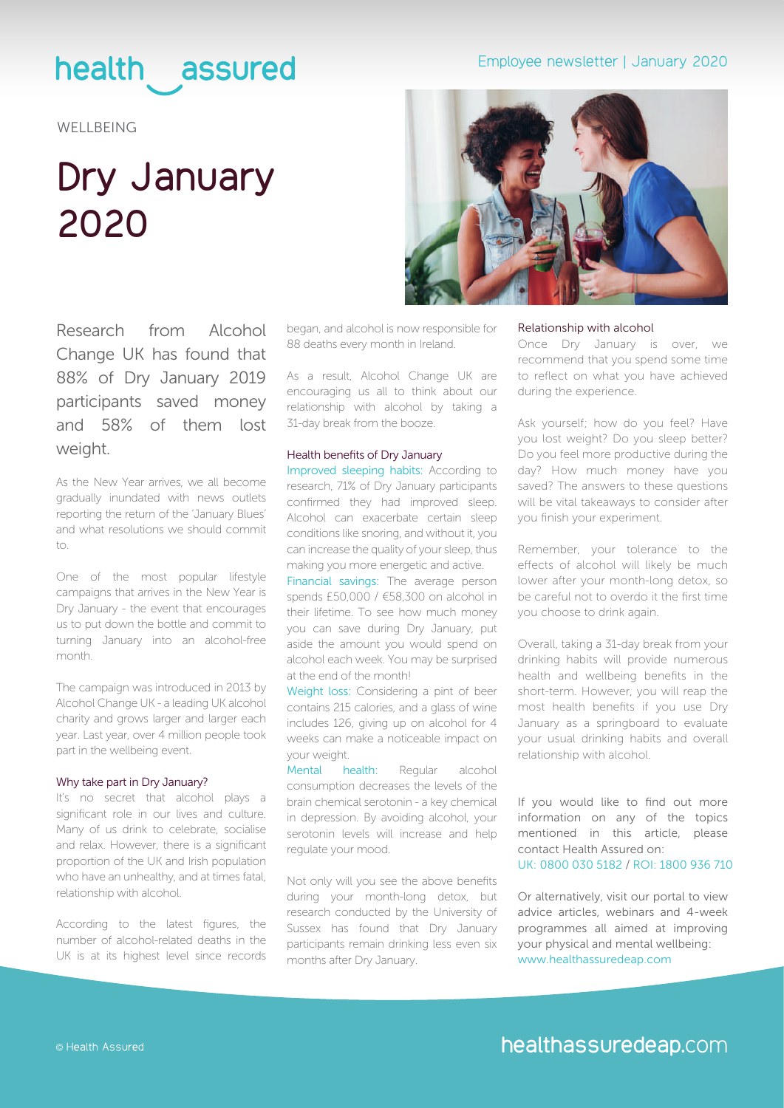### health assured

**WELLBEING** 

## **Dry January 2020**



Research from Alcohol Change UK has found that 88% of Dry January 2019 participants saved money and 58% of them lost weight.

As the New Year arrives, we all become gradually inundated with news outlets reporting the return of the 'January Blues' and what resolutions we should commit  $+\n<sup>1</sup>$ 

One of the most popular lifestyle campaigns that arrives in the New Year is Dry January - the event that encourages us to put down the bottle and commit to turning January into an alcohol-free month.

The campaign was introduced in 2013 by Alcohol Change UK - a leading UK alcohol charity and grows larger and larger each year. Last year, over 4 million people took part in the wellbeing event.

### Why take part in Dry January?

It's no secret that alcohol plays a significant role in our lives and culture. Many of us drink to celebrate, socialise and relax. However, there is a significant proportion of the UK and Irish population who have an unhealthy, and at times fatal, relationship with alcohol.

According to the latest figures, the number of alcohol-related deaths in the UK is at its highest level since records

began, and alcohol is now responsible for 88 deaths every month in Ireland.

As a result, Alcohol Change UK are encouraging us all to think about our relationship with alcohol by taking a 31-day break from the booze.

### Health benefits of Dry January

Improved sleeping habits: According to research, 71% of Dry January participants confirmed they had improved sleep. Alcohol can exacerbate certain sleep conditions like snoring, and without it, you can increase the quality of your sleep, thus making you more energetic and active.

Financial savings: The average person spends £50,000 / €58,300 on alcohol in their lifetime. To see how much money you can save during Dry January, put aside the amount you would spend on alcohol each week. You may be surprised at the end of the month!

Weight loss: Considering a pint of beer contains 215 calories, and a glass of wine includes 126, giving up on alcohol for 4 weeks can make a noticeable impact on your weight.

Mental health: Regular alcohol consumption decreases the levels of the brain chemical serotonin - a key chemical in depression. By avoiding alcohol, your serotonin levels will increase and help regulate your mood.

Not only will you see the above benefits during your month-long detox, but research conducted by the University of Sussex has found that Dry January participants remain drinking less even six months after Dry January.

#### Relationship with alcohol

Once Dry January is over, we recommend that you spend some time to reflect on what you have achieved during the experience.

Ask yourself; how do you feel? Have you lost weight? Do you sleep better? Do you feel more productive during the day? How much money have you saved? The answers to these questions will be vital takeaways to consider after you finish your experiment.

Remember, your tolerance to the effects of alcohol will likely be much lower after your month-long detox, so be careful not to overdo it the first time you choose to drink again.

Overall, taking a 31-day break from your drinking habits will provide numerous health and wellbeing benefits in the short-term. However, you will reap the most health benefits if you use Dry January as a springboard to evaluate your usual drinking habits and overall relationship with alcohol.

If you would like to find out more information on any of the topics mentioned in this article, please contact Health Assured on: UK: 0800 030 5182 / ROI: 1800 936 710

Or alternatively, visit our portal to view advice articles, webinars and 4-week programmes all aimed at improving your physical and mental wellbeing: [www.healthassuredeap.com](https://healthassuredeap.co.uk/)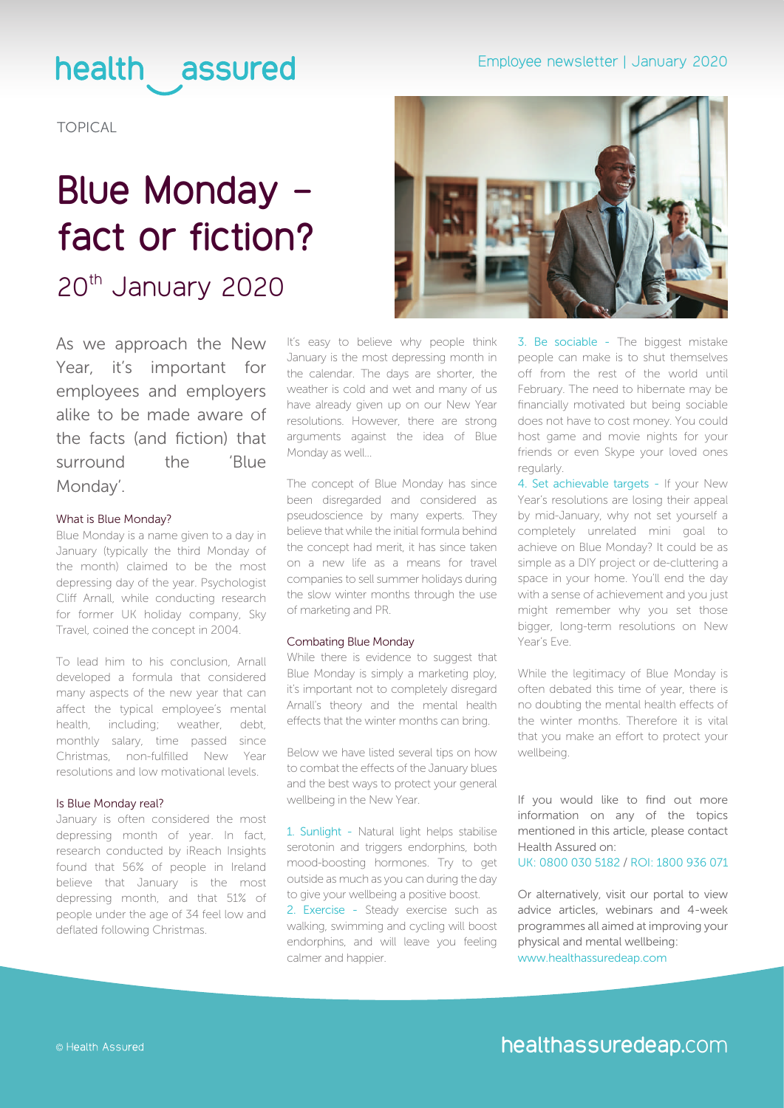### health assured

TOPICAL

# **Blue Monday fact or fiction?**

20th January 2020

As we approach the New Year, it's important for employees and employers alike to be made aware of the facts (and fiction) that surround the 'Blue Monday'.

### What is Blue Monday?

Blue Monday is a name given to a day in January (typically the third Monday of the month) claimed to be the most depressing day of the year. Psychologist Cliff Arnall, while conducting research for former UK holiday company, Sky Travel, coined the concept in 2004.

To lead him to his conclusion, Arnall developed a formula that considered many aspects of the new year that can affect the typical employee's mental health, including; weather, debt, monthly salary, time passed since Christmas, non-fulfilled New Year resolutions and low motivational levels.

### Is Blue Monday real?

January is often considered the most depressing month of year. In fact, research conducted by iReach Insights found that 56% of people in Ireland believe that January is the most depressing month, and that 51% of people under the age of 34 feel low and deflated following Christmas.

It's easy to believe why people think January is the most depressing month in the calendar. The days are shorter, the weather is cold and wet and many of us have already given up on our New Year resolutions. However, there are strong arguments against the idea of Blue Monday as well...

The concept of Blue Monday has since been disregarded and considered as pseudoscience by many experts. They believe that while the initial formula behind the concept had merit, it has since taken on a new life as a means for travel companies to sell summer holidays during the slow winter months through the use of marketing and PR.

### Combating Blue Monday

While there is evidence to suggest that Blue Monday is simply a marketing ploy, it's important not to completely disregard Arnall's theory and the mental health effects that the winter months can bring.

Below we have listed several tips on how to combat the effects of the January blues and the best ways to protect your general wellbeing in the New Year.

1. Sunlight - Natural light helps stabilise serotonin and triggers endorphins, both mood-boosting hormones. Try to get outside as much as you can during the day to give your wellbeing a positive boost.

2. Exercise - Steady exercise such as walking, swimming and cycling will boost endorphins, and will leave you feeling calmer and happier.

3. Be sociable - The biggest mistake people can make is to shut themselves off from the rest of the world until February. The need to hibernate may be financially motivated but being sociable does not have to cost money. You could host game and movie nights for your friends or even Skype your loved ones regularly.

4. Set achievable targets - If your New Year's resolutions are losing their appeal by mid-January, why not set yourself a completely unrelated mini goal to achieve on Blue Monday? It could be as simple as a DIY project or de-cluttering a space in your home. You'll end the day with a sense of achievement and you just might remember why you set those bigger, long-term resolutions on New Year's Eve.

While the legitimacy of Blue Monday is often debated this time of year, there is no doubting the mental health effects of the winter months. Therefore it is vital that you make an effort to protect your wellbeing.

If you would like to find out more information on any of the topics mentioned in this article, please contact Health Assured on:

UK: 0800 030 5182 / ROI: 1800 936 071

Or alternatively, visit our portal to view advice articles, webinars and 4-week programmes all aimed at improving your physical and mental wellbeing:

[www.healthassuredeap.com](https://healthassuredeap.co.uk/)